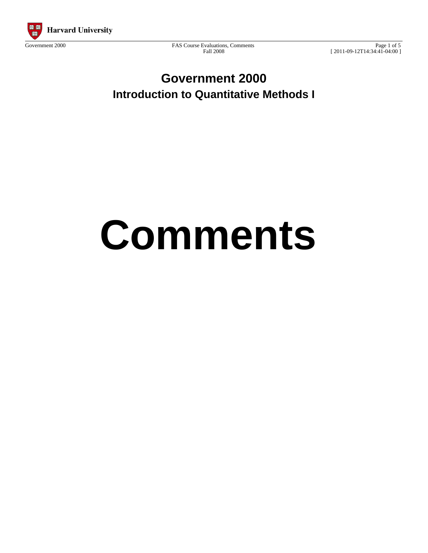

Government 2000 FAS Course Evaluations, Comments Fall 2008

Page 1 of 5 [ 2011-09-12T14:34:41-04:00 ]

**Government 2000 Introduction to Quantitative Methods I**

# **Comments**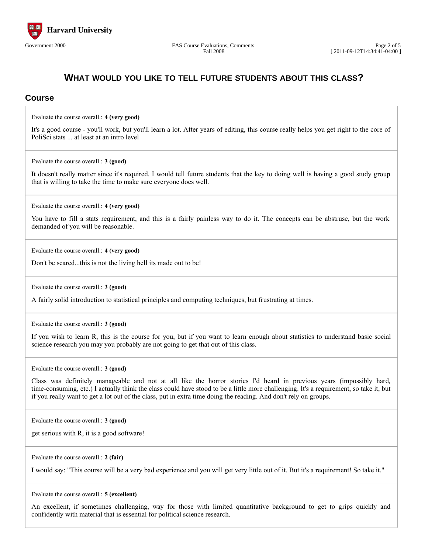

### **WHAT WOULD YOU LIKE TO TELL FUTURE STUDENTS ABOUT THIS CLASS?**

#### **Course**

Evaluate the course overall.: **4 (very good)**

It's a good course - you'll work, but you'll learn a lot. After years of editing, this course really helps you get right to the core of PoliSci stats ... at least at an intro level

Evaluate the course overall.: **3 (good)**

It doesn't really matter since it's required. I would tell future students that the key to doing well is having a good study group that is willing to take the time to make sure everyone does well.

Evaluate the course overall.: **4 (very good)**

You have to fill a stats requirement, and this is a fairly painless way to do it. The concepts can be abstruse, but the work demanded of you will be reasonable.

Evaluate the course overall.: **4 (very good)**

Don't be scared...this is not the living hell its made out to be!

Evaluate the course overall.: **3 (good)**

A fairly solid introduction to statistical principles and computing techniques, but frustrating at times.

Evaluate the course overall.: **3 (good)**

If you wish to learn R, this is the course for you, but if you want to learn enough about statistics to understand basic social science research you may you probably are not going to get that out of this class.

Evaluate the course overall.: **3 (good)**

Class was definitely manageable and not at all like the horror stories I'd heard in previous years (impossibly hard, time-consuming, etc.) I actually think the class could have stood to be a little more challenging. It's a requirement, so take it, but if you really want to get a lot out of the class, put in extra time doing the reading. And don't rely on groups.

Evaluate the course overall.: **3 (good)**

get serious with R, it is a good software!

Evaluate the course overall.: **2 (fair)**

I would say: "This course will be a very bad experience and you will get very little out of it. But it's a requirement! So take it."

Evaluate the course overall.: **5 (excellent)**

An excellent, if sometimes challenging, way for those with limited quantitative background to get to grips quickly and confidently with material that is essential for political science research.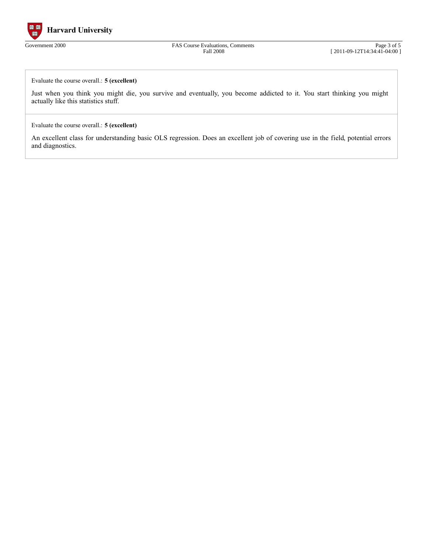

Government 2000 FAS Course Evaluations, Comments Fall 2008

Page 3 of 5 [ 2011-09-12T14:34:41-04:00 ]

Evaluate the course overall.: **5 (excellent)**

Just when you think you might die, you survive and eventually, you become addicted to it. You start thinking you might actually like this statistics stuff.

Evaluate the course overall.: **5 (excellent)**

An excellent class for understanding basic OLS regression. Does an excellent job of covering use in the field, potential errors and diagnostics.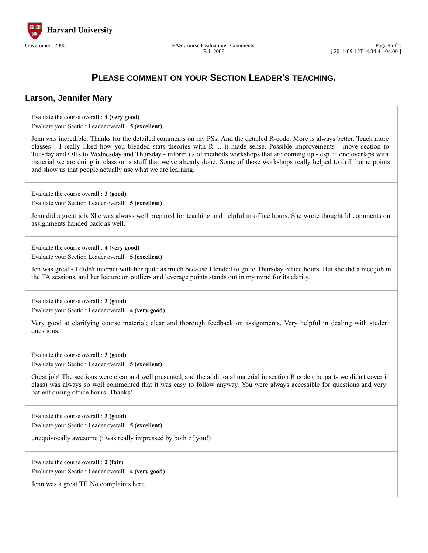

Fall 2008

## **PLEASE COMMENT ON YOUR SECTION LEADER'S TEACHING.**

#### **Larson, Jennifer Mary**

Evaluate the course overall.: **4 (very good)**

Evaluate your Section Leader overall.: **5 (excellent)**

Jenn was incredible. Thanks for the detailed comments on my PSs. And the detailed R-code. More is always better. Teach more classes - I really liked how you blended stats theories with R ... it made sense. Possible improvements - move section to Tuesday and OHs to Wednesday and Thursday - inform us of methods workshops that are coming up - esp. if one overlaps with material we are doing in class or is stuff that we've already done. Some of those workshops really helped to drill home points and show us that people actually use what we are learning.

Evaluate the course overall.: **3 (good)**

Evaluate your Section Leader overall.: **5 (excellent)**

Jenn did a great job. She was always well prepared for teaching and helpful in office hours. She wrote thoughtful comments on assignments handed back as well.

Evaluate the course overall.: **4 (very good)** Evaluate your Section Leader overall.: **5 (excellent)**

Jen was great - I didn't interact with her quite as much because I tended to go to Thursday office hours. But she did a nice job in the TA sessions, and her lecture on outliers and leverage points stands out in my mind for its clarity.

Evaluate the course overall.: **3 (good)**

Evaluate your Section Leader overall.: **4 (very good)**

Very good at clarifying course material; clear and thorough feedback on assignments. Very helpful in dealing with student questions.

Evaluate the course overall.: **3 (good)** Evaluate your Section Leader overall.: **5 (excellent)**

Great job! The sections were clear and well presented, and the additional material in section R code (the parts we didn't cover in class) was always so well commented that it was easy to follow anyway. You were always accessible for questions and very patient during office hours. Thanks!

Evaluate the course overall.: **3 (good)**

Evaluate your Section Leader overall.: **5 (excellent)**

unequivocally awesome (i was really impressed by both of you!)

Evaluate the course overall.: **2 (fair)** Evaluate your Section Leader overall.: **4 (very good)**

Jenn was a great TF. No complaints here.